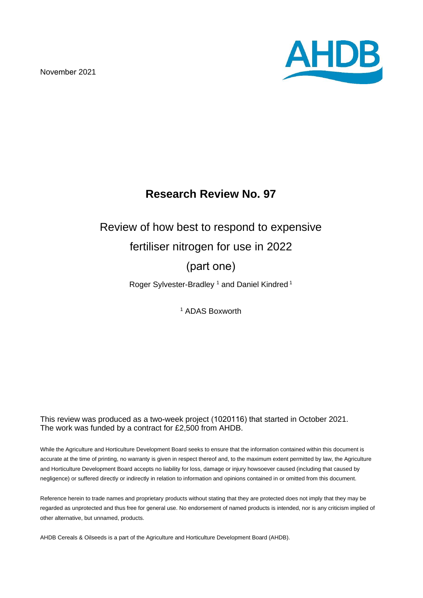November 2021



# **Research Review No. 97**

# Review of how best to respond to expensive

## fertiliser nitrogen for use in 2022

# (part one)

Roger Sylvester-Bradley<sup>1</sup> and Daniel Kindred<sup>1</sup>

<sup>1</sup> ADAS Boxworth

#### This review was produced as a two-week project (1020116) that started in October 2021. The work was funded by a contract for £2,500 from AHDB.

While the Agriculture and Horticulture Development Board seeks to ensure that the information contained within this document is accurate at the time of printing, no warranty is given in respect thereof and, to the maximum extent permitted by law, the Agriculture and Horticulture Development Board accepts no liability for loss, damage or injury howsoever caused (including that caused by negligence) or suffered directly or indirectly in relation to information and opinions contained in or omitted from this document.

Reference herein to trade names and proprietary products without stating that they are protected does not imply that they may be regarded as unprotected and thus free for general use. No endorsement of named products is intended, nor is any criticism implied of other alternative, but unnamed, products.

AHDB Cereals & Oilseeds is a part of the Agriculture and Horticulture Development Board (AHDB).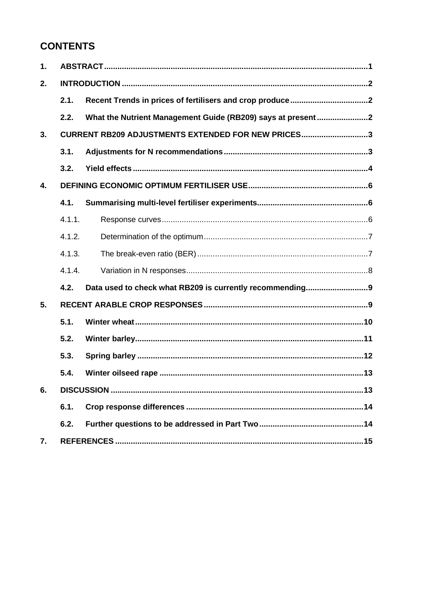# **CONTENTS**

| 1. |        |                                                             |  |  |  |  |  |  |
|----|--------|-------------------------------------------------------------|--|--|--|--|--|--|
| 2. |        |                                                             |  |  |  |  |  |  |
|    | 2.1.   |                                                             |  |  |  |  |  |  |
|    | 2.2.   | What the Nutrient Management Guide (RB209) says at present2 |  |  |  |  |  |  |
| 3. |        | CURRENT RB209 ADJUSTMENTS EXTENDED FOR NEW PRICES3          |  |  |  |  |  |  |
|    | 3.1.   |                                                             |  |  |  |  |  |  |
|    | 3.2.   |                                                             |  |  |  |  |  |  |
| 4. |        |                                                             |  |  |  |  |  |  |
|    | 4.1.   |                                                             |  |  |  |  |  |  |
|    | 4.1.1. |                                                             |  |  |  |  |  |  |
|    | 4.1.2. |                                                             |  |  |  |  |  |  |
|    | 4.1.3. |                                                             |  |  |  |  |  |  |
|    | 4.1.4. |                                                             |  |  |  |  |  |  |
|    | 4.2.   | Data used to check what RB209 is currently recommending9    |  |  |  |  |  |  |
| 5. |        |                                                             |  |  |  |  |  |  |
|    | 5.1.   |                                                             |  |  |  |  |  |  |
|    | 5.2.   |                                                             |  |  |  |  |  |  |
|    | 5.3.   |                                                             |  |  |  |  |  |  |
|    | 5.4.   |                                                             |  |  |  |  |  |  |
| 6. |        |                                                             |  |  |  |  |  |  |
|    | 6.1.   |                                                             |  |  |  |  |  |  |
|    | 6.2.   |                                                             |  |  |  |  |  |  |
| 7. |        |                                                             |  |  |  |  |  |  |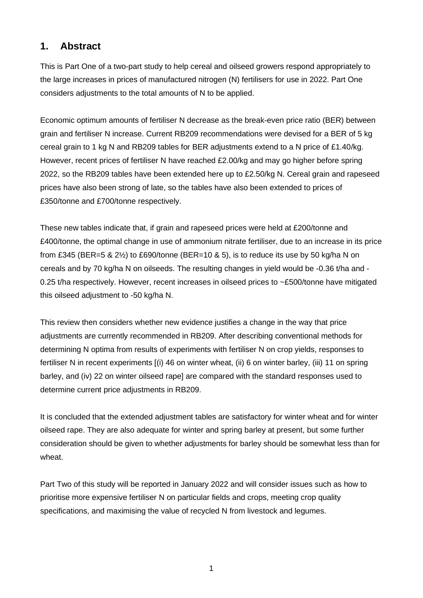### **1. Abstract**

This is Part One of a two-part study to help cereal and oilseed growers respond appropriately to the large increases in prices of manufactured nitrogen (N) fertilisers for use in 2022. Part One considers adjustments to the total amounts of N to be applied.

Economic optimum amounts of fertiliser N decrease as the break-even price ratio (BER) between grain and fertiliser N increase. Current RB209 recommendations were devised for a BER of 5 kg cereal grain to 1 kg N and RB209 tables for BER adjustments extend to a N price of £1.40/kg. However, recent prices of fertiliser N have reached £2.00/kg and may go higher before spring 2022, so the RB209 tables have been extended here up to £2.50/kg N. Cereal grain and rapeseed prices have also been strong of late, so the tables have also been extended to prices of £350/tonne and £700/tonne respectively.

These new tables indicate that, if grain and rapeseed prices were held at £200/tonne and £400/tonne, the optimal change in use of ammonium nitrate fertiliser, due to an increase in its price from £345 (BER=5  $\&$  2 $\frac{1}{2}$ ) to £690/tonne (BER=10  $\&$  5), is to reduce its use by 50 kg/ha N on cereals and by 70 kg/ha N on oilseeds. The resulting changes in yield would be -0.36 t/ha and - 0.25 t/ha respectively. However, recent increases in oilseed prices to ~£500/tonne have mitigated this oilseed adjustment to -50 kg/ha N.

This review then considers whether new evidence justifies a change in the way that price adjustments are currently recommended in RB209. After describing conventional methods for determining N optima from results of experiments with fertiliser N on crop yields, responses to fertiliser N in recent experiments [(i) 46 on winter wheat, (ii) 6 on winter barley, (iii) 11 on spring barley, and (iv) 22 on winter oilseed rape] are compared with the standard responses used to determine current price adjustments in RB209.

It is concluded that the extended adjustment tables are satisfactory for winter wheat and for winter oilseed rape. They are also adequate for winter and spring barley at present, but some further consideration should be given to whether adjustments for barley should be somewhat less than for wheat.

Part Two of this study will be reported in January 2022 and will consider issues such as how to prioritise more expensive fertiliser N on particular fields and crops, meeting crop quality specifications, and maximising the value of recycled N from livestock and legumes.

1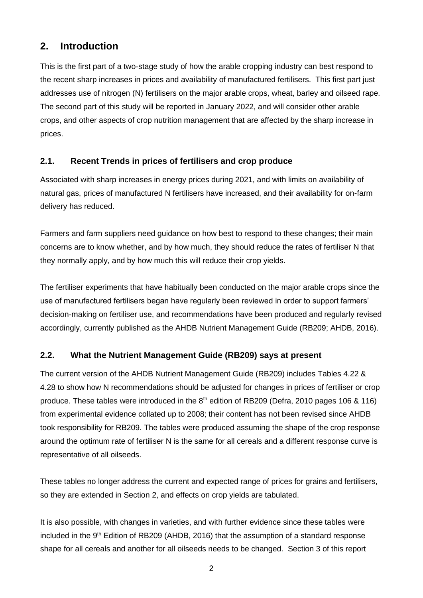### **2. Introduction**

This is the first part of a two-stage study of how the arable cropping industry can best respond to the recent sharp increases in prices and availability of manufactured fertilisers. This first part just addresses use of nitrogen (N) fertilisers on the major arable crops, wheat, barley and oilseed rape. The second part of this study will be reported in January 2022, and will consider other arable crops, and other aspects of crop nutrition management that are affected by the sharp increase in prices.

#### **2.1. Recent Trends in prices of fertilisers and crop produce**

Associated with sharp increases in energy prices during 2021, and with limits on availability of natural gas, prices of manufactured N fertilisers have increased, and their availability for on-farm delivery has reduced.

Farmers and farm suppliers need guidance on how best to respond to these changes; their main concerns are to know whether, and by how much, they should reduce the rates of fertiliser N that they normally apply, and by how much this will reduce their crop yields.

The fertiliser experiments that have habitually been conducted on the major arable crops since the use of manufactured fertilisers began have regularly been reviewed in order to support farmers' decision-making on fertiliser use, and recommendations have been produced and regularly revised accordingly, currently published as the AHDB Nutrient Management Guide (RB209; AHDB, 2016).

### **2.2. What the Nutrient Management Guide (RB209) says at present**

The current version of the AHDB Nutrient Management Guide (RB209) includes Tables 4.22 & 4.28 to show how N recommendations should be adjusted for changes in prices of fertiliser or crop produce. These tables were introduced in the 8<sup>th</sup> edition of RB209 (Defra, 2010 pages 106 & 116) from experimental evidence collated up to 2008; their content has not been revised since AHDB took responsibility for RB209. The tables were produced assuming the shape of the crop response around the optimum rate of fertiliser N is the same for all cereals and a different response curve is representative of all oilseeds.

These tables no longer address the current and expected range of prices for grains and fertilisers, so they are extended in Section 2, and effects on crop yields are tabulated.

It is also possible, with changes in varieties, and with further evidence since these tables were included in the 9<sup>th</sup> Edition of RB209 (AHDB, 2016) that the assumption of a standard response shape for all cereals and another for all oilseeds needs to be changed. Section 3 of this report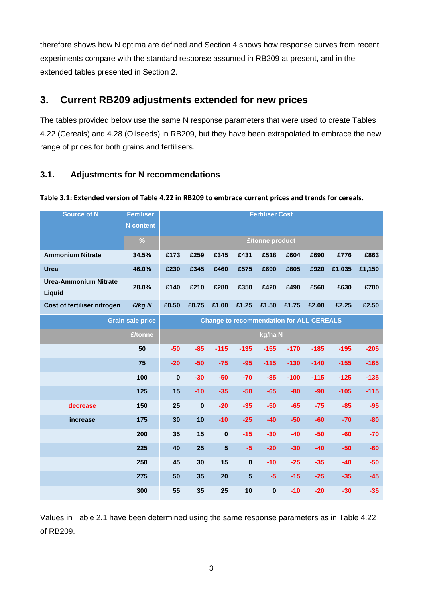therefore shows how N optima are defined and Section 4 shows how response curves from recent experiments compare with the standard response assumed in RB209 at present, and in the extended tables presented in Section 2.

### **3. Current RB209 adjustments extended for new prices**

The tables provided below use the same N response parameters that were used to create Tables 4.22 (Cereals) and 4.28 (Oilseeds) in RB209, but they have been extrapolated to embrace the new range of prices for both grains and fertilisers.

### **3.1. Adjustments for N recommendations**

#### **Table 3.1: Extended version of Table 4.22 in RB209 to embrace current prices and trends for cereals.**

| Source of N                            | <b>Fertiliser</b><br><b>N</b> content | <b>Fertiliser Cost</b> |          |                |                |                                                 |        |        |        |        |
|----------------------------------------|---------------------------------------|------------------------|----------|----------------|----------------|-------------------------------------------------|--------|--------|--------|--------|
|                                        | $\%$                                  | £/tonne product        |          |                |                |                                                 |        |        |        |        |
| <b>Ammonium Nitrate</b>                | 34.5%                                 | £173                   | £259     | £345           | £431           | £518                                            | £604   | £690   | £776   | £863   |
| <b>Urea</b>                            | 46.0%                                 | £230                   | £345     | £460           | £575           | £690                                            | £805   | £920   | £1,035 | £1,150 |
| <b>Urea-Ammonium Nitrate</b><br>Liquid | 28.0%                                 | £140                   | £210     | £280           | £350           | £420                                            | £490   | £560   | £630   | £700   |
| Cost of fertiliser nitrogen            | £/kg N                                | £0.50                  | £0.75    | £1.00          | £1.25          | £1.50                                           | £1.75  | £2.00  | £2.25  | £2.50  |
|                                        | <b>Grain sale price</b>               |                        |          |                |                | <b>Change to recommendation for ALL CEREALS</b> |        |        |        |        |
|                                        | £/tonne                               |                        |          |                |                | kg/ha N                                         |        |        |        |        |
|                                        | 50                                    | $-50$                  | $-85$    | $-115$         | $-135$         | $-155$                                          | $-170$ | $-185$ | $-195$ | $-205$ |
|                                        | 75                                    | $-20$                  | $-50$    | $-75$          | $-95$          | $-115$                                          | $-130$ | $-140$ | $-155$ | $-165$ |
|                                        | 100                                   | 0                      | $-30$    | $-50$          | $-70$          | $-85$                                           | $-100$ | $-115$ | $-125$ | $-135$ |
|                                        | 125                                   | 15                     | $-10$    | $-35$          | $-50$          | $-65$                                           | $-80$  | $-90$  | $-105$ | $-115$ |
| decrease                               | 150                                   | 25                     | $\bf{0}$ | $-20$          | $-35$          | $-50$                                           | $-65$  | $-75$  | $-85$  | $-95$  |
| increase                               | 175                                   | 30                     | 10       | $-10$          | $-25$          | $-40$                                           | $-50$  | $-60$  | $-70$  | $-80$  |
|                                        | 200                                   | 35                     | 15       | $\pmb{0}$      | $-15$          | $-30$                                           | $-40$  | $-50$  | $-60$  | $-70$  |
|                                        | 225                                   | 40                     | 25       | $5\phantom{1}$ | $-5$           | $-20$                                           | $-30$  | $-40$  | $-50$  | $-60$  |
|                                        | 250                                   | 45                     | 30       | 15             | $\pmb{0}$      | $-10$                                           | $-25$  | $-35$  | $-40$  | $-50$  |
|                                        | 275                                   | 50                     | 35       | 20             | $5\phantom{1}$ | $-5$                                            | $-15$  | $-25$  | $-35$  | $-45$  |
|                                        | 300                                   | 55                     | 35       | 25             | 10             | $\mathbf 0$                                     | $-10$  | $-20$  | $-30$  | $-35$  |

Values in Table 2.1 have been determined using the same response parameters as in Table 4.22 of RB209.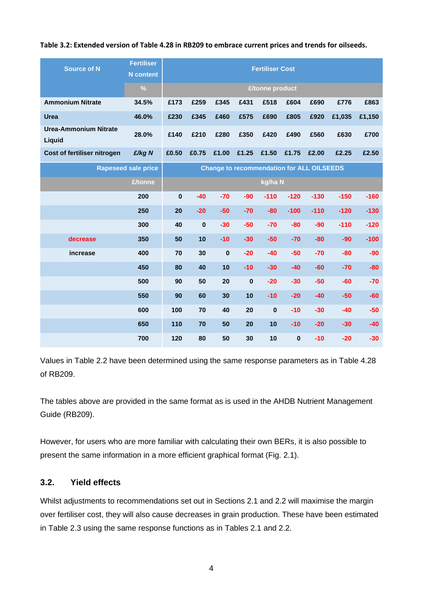#### **Table 3.2: Extended version of Table 4.28 in RB209 to embrace current prices and trends for oilseeds.**

| <b>Source of N</b>                     | <b>Fertiliser</b><br><b>N</b> content | <b>Fertiliser Cost</b> |             |                                                  |          |           |          |        |        |        |
|----------------------------------------|---------------------------------------|------------------------|-------------|--------------------------------------------------|----------|-----------|----------|--------|--------|--------|
|                                        | $\frac{0}{0}$                         | £/tonne product        |             |                                                  |          |           |          |        |        |        |
| <b>Ammonium Nitrate</b>                | 34.5%                                 | £173                   | £259        | £345                                             | £431     | £518      | £604     | £690   | £776   | £863   |
| <b>Urea</b>                            | 46.0%                                 | £230                   | £345        | £460                                             | £575     | £690      | £805     | £920   | £1,035 | £1,150 |
| <b>Urea-Ammonium Nitrate</b><br>Liquid | 28.0%                                 | £140                   | £210        | £280                                             | £350     | £420      | £490     | £560   | £630   | £700   |
| Cost of fertiliser nitrogen            | £/kg N                                | £0.50                  | £0.75       | £1.00                                            | £1.25    | £1.50     | £1.75    | £2.00  | £2.25  | £2.50  |
|                                        | Rapeseed sale price                   |                        |             | <b>Change to recommendation for ALL OILSEEDS</b> |          |           |          |        |        |        |
|                                        | £/tonne                               |                        |             |                                                  |          | kg/ha N   |          |        |        |        |
|                                        | 200                                   | $\bf{0}$               | $-40$       | $-70$                                            | $-90$    | $-110$    | $-120$   | $-130$ | $-150$ | $-160$ |
|                                        | 250                                   | 20                     | $-20$       | $-50$                                            | $-70$    | $-80$     | $-100$   | $-110$ | $-120$ | $-130$ |
|                                        | 300                                   | 40                     | $\mathbf 0$ | $-30$                                            | $-50$    | $-70$     | $-80$    | $-90$  | $-110$ | $-120$ |
| decrease                               | 350                                   | 50                     | 10          | $-10$                                            | $-30$    | $-50$     | $-70$    | $-80$  | $-90$  | $-100$ |
| increase                               | 400                                   | 70                     | 30          | $\bf{0}$                                         | $-20$    | $-40$     | $-50$    | $-70$  | $-80$  | $-90$  |
|                                        | 450                                   | 80                     | 40          | 10                                               | $-10$    | $-30$     | $-40$    | $-60$  | $-70$  | $-80$  |
|                                        | 500                                   | 90                     | 50          | 20                                               | $\bf{0}$ | $-20$     | $-30$    | $-50$  | $-60$  | $-70$  |
|                                        | 550                                   | 90                     | 60          | 30                                               | 10       | $-10$     | $-20$    | $-40$  | $-50$  | $-60$  |
|                                        | 600                                   | 100                    | 70          | 40                                               | 20       | $\pmb{0}$ | $-10$    | $-30$  | $-40$  | $-50$  |
|                                        | 650                                   | 110                    | 70          | 50                                               | 20       | 10        | $-10$    | $-20$  | $-30$  | $-40$  |
|                                        | 700                                   | 120                    | 80          | 50                                               | 30       | 10        | $\bf{0}$ | $-10$  | $-20$  | $-30$  |

Values in Table 2.2 have been determined using the same response parameters as in Table 4.28 of RB209.

The tables above are provided in the same format as is used in the AHDB Nutrient Management Guide (RB209).

However, for users who are more familiar with calculating their own BERs, it is also possible to present the same information in a more efficient graphical format (Fig. 2.1).

#### **3.2. Yield effects**

Whilst adjustments to recommendations set out in Sections 2.1 and 2.2 will maximise the margin over fertiliser cost, they will also cause decreases in grain production. These have been estimated in Table 2.3 using the same response functions as in Tables 2.1 and 2.2.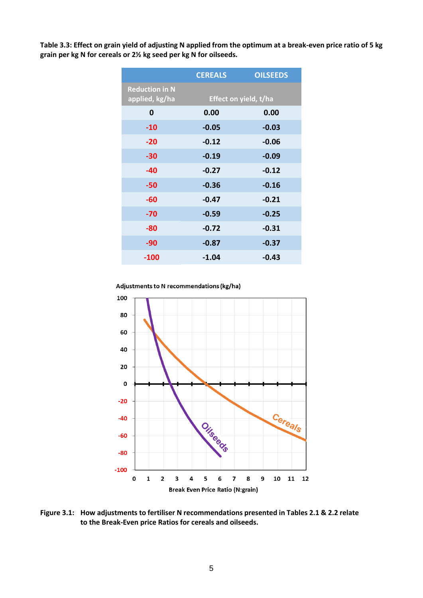**Table 3.3: Effect on grain yield of adjusting N applied from the optimum at a break-even price ratio of 5 kg grain per kg N for cereals or 2½ kg seed per kg N for oilseeds.** 

|                                         | <b>CEREALS</b>        | <b>OILSEEDS</b> |  |  |  |  |  |
|-----------------------------------------|-----------------------|-----------------|--|--|--|--|--|
| <b>Reduction in N</b><br>applied, kg/ha | Effect on yield, t/ha |                 |  |  |  |  |  |
| 0                                       | 0.00                  | 0.00            |  |  |  |  |  |
| $-10$                                   | $-0.05$               | $-0.03$         |  |  |  |  |  |
| $-20$                                   | $-0.12$               | $-0.06$         |  |  |  |  |  |
| $-30$                                   | $-0.19$               | $-0.09$         |  |  |  |  |  |
| $-40$                                   | $-0.27$               | $-0.12$         |  |  |  |  |  |
| $-50$                                   | $-0.36$               | $-0.16$         |  |  |  |  |  |
| -60                                     | $-0.47$               | $-0.21$         |  |  |  |  |  |
| $-70$                                   | $-0.59$               | $-0.25$         |  |  |  |  |  |
| -80                                     | $-0.72$               | $-0.31$         |  |  |  |  |  |
| $-90$                                   | $-0.87$               | $-0.37$         |  |  |  |  |  |
| $-100$                                  | $-1.04$               | $-0.43$         |  |  |  |  |  |

Adjustments to N recommendations (kg/ha)



**Figure 3.1: How adjustments to fertiliser N recommendations presented in Tables 2.1 & 2.2 relate to the Break-Even price Ratios for cereals and oilseeds.**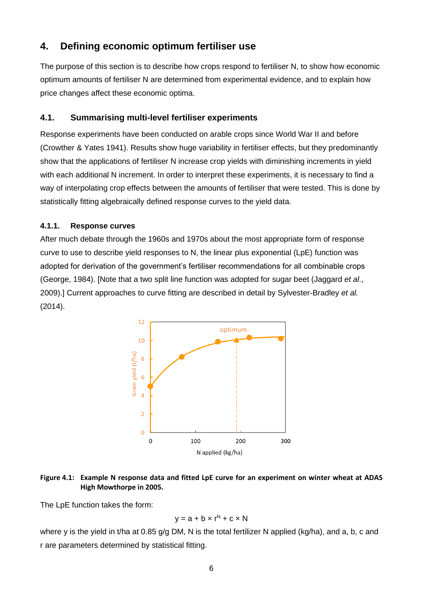### **4. Defining economic optimum fertiliser use**

The purpose of this section is to describe how crops respond to fertiliser N, to show how economic optimum amounts of fertiliser N are determined from experimental evidence, and to explain how price changes affect these economic optima.

#### **4.1. Summarising multi-level fertiliser experiments**

Response experiments have been conducted on arable crops since World War II and before (Crowther & Yates 1941). Results show huge variability in fertiliser effects, but they predominantly show that the applications of fertiliser N increase crop yields with diminishing increments in yield with each additional N increment. In order to interpret these experiments, it is necessary to find a way of interpolating crop effects between the amounts of fertiliser that were tested. This is done by statistically fitting algebraically defined response curves to the yield data.

#### **4.1.1. Response curves**

After much debate through the 1960s and 1970s about the most appropriate form of response curve to use to describe yield responses to N, the linear plus exponential (LpE) function was adopted for derivation of the government's fertiliser recommendations for all combinable crops (George, 1984). [Note that a two split line function was adopted for sugar beet (Jaggard *et al*., 2009).] Current approaches to curve fitting are described in detail by Sylvester-Bradley *et al.* (2014).



#### **Figure 4.1: Example N response data and fitted LpE curve for an experiment on winter wheat at ADAS High Mowthorpe in 2005.**

The LpE function takes the form:

$$
y = a + b \times r^N + c \times N
$$

where y is the yield in t/ha at 0.85 g/g DM, N is the total fertilizer N applied (kg/ha), and a, b, c and r are parameters determined by statistical fitting.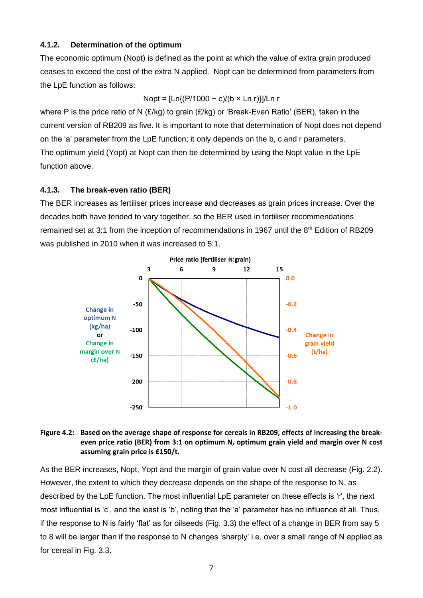#### **4.1.2. Determination of the optimum**

The economic optimum (Nopt) is defined as the point at which the value of extra grain produced ceases to exceed the cost of the extra N applied. Nopt can be determined from parameters from the LpE function as follows:

Nopt = [Ln{(P/1000 − c)/(b × Ln r)}]/Ln r

where P is the price ratio of N (£/kg) to grain (£/kg) or 'Break-Even Ratio' (BER), taken in the current version of RB209 as five. It is important to note that determination of Nopt does not depend on the 'a' parameter from the LpE function; it only depends on the b, c and r parameters. The optimum yield (Yopt) at Nopt can then be determined by using the Nopt value in the LpE function above.

#### **4.1.3. The break-even ratio (BER)**

The BER increases as fertiliser prices increase and decreases as grain prices increase. Over the decades both have tended to vary together, so the BER used in fertiliser recommendations remained set at 3:1 from the inception of recommendations in 1967 until the 8<sup>th</sup> Edition of RB209 was published in 2010 when it was increased to 5:1.



#### **Figure 4.2: Based on the average shape of response for cereals in RB209, effects of increasing the breakeven price ratio (BER) from 3:1 on optimum N, optimum grain yield and margin over N cost assuming grain price is £150/t.**

As the BER increases, Nopt, Yopt and the margin of grain value over N cost all decrease (Fig. 2.2). However, the extent to which they decrease depends on the shape of the response to N, as described by the LpE function. The most influential LpE parameter on these effects is 'r', the next most influential is 'c', and the least is 'b', noting that the 'a' parameter has no influence at all. Thus, if the response to N is fairly 'flat' as for oilseeds (Fig. 3.3) the effect of a change in BER from say 5 to 8 will be larger than if the response to N changes 'sharply' i.e. over a small range of N applied as for cereal in Fig. 3.3.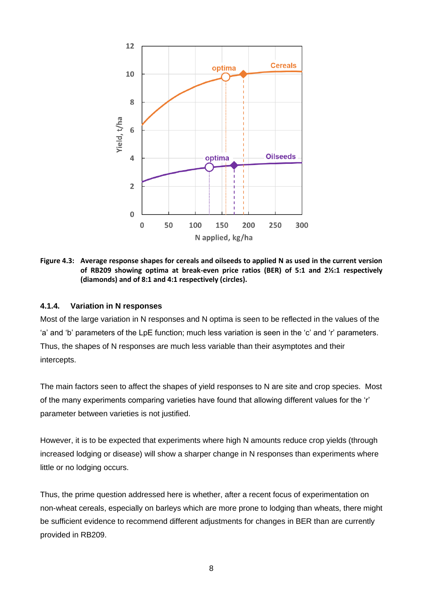

**Figure 4.3: Average response shapes for cereals and oilseeds to applied N as used in the current version of RB209 showing optima at break-even price ratios (BER) of 5:1 and 2½:1 respectively (diamonds) and of 8:1 and 4:1 respectively (circles).**

#### **4.1.4. Variation in N responses**

Most of the large variation in N responses and N optima is seen to be reflected in the values of the 'a' and 'b' parameters of the LpE function; much less variation is seen in the 'c' and 'r' parameters. Thus, the shapes of N responses are much less variable than their asymptotes and their intercepts.

The main factors seen to affect the shapes of yield responses to N are site and crop species. Most of the many experiments comparing varieties have found that allowing different values for the 'r' parameter between varieties is not justified.

However, it is to be expected that experiments where high N amounts reduce crop yields (through increased lodging or disease) will show a sharper change in N responses than experiments where little or no lodging occurs.

Thus, the prime question addressed here is whether, after a recent focus of experimentation on non-wheat cereals, especially on barleys which are more prone to lodging than wheats, there might be sufficient evidence to recommend different adjustments for changes in BER than are currently provided in RB209.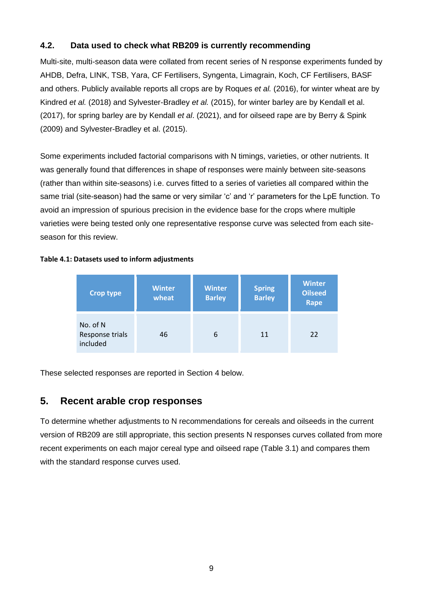### **4.2. Data used to check what RB209 is currently recommending**

Multi-site, multi-season data were collated from recent series of N response experiments funded by AHDB, Defra, LINK, TSB, Yara, CF Fertilisers, Syngenta, Limagrain, Koch, CF Fertilisers, BASF and others. Publicly available reports all crops are by Roques *et al.* (2016), for winter wheat are by Kindred *et al.* (2018) and Sylvester-Bradley *et al.* (2015), for winter barley are by Kendall et al. (2017), for spring barley are by Kendall *et al*. (2021), and for oilseed rape are by Berry & Spink (2009) and Sylvester-Bradley et al. (2015).

Some experiments included factorial comparisons with N timings, varieties, or other nutrients. It was generally found that differences in shape of responses were mainly between site-seasons (rather than within site-seasons) i.e. curves fitted to a series of varieties all compared within the same trial (site-season) had the same or very similar 'c' and 'r' parameters for the LpE function. To avoid an impression of spurious precision in the evidence base for the crops where multiple varieties were being tested only one representative response curve was selected from each siteseason for this review.

#### **Crop type Winter wheat Winter Barley Spring Barley Winter Oilseed Rape** No. of N Response trials 46 6 11 22

#### **Table 4.1: Datasets used to inform adjustments**

These selected responses are reported in Section 4 below.

### **5. Recent arable crop responses**

included

To determine whether adjustments to N recommendations for cereals and oilseeds in the current version of RB209 are still appropriate, this section presents N responses curves collated from more recent experiments on each major cereal type and oilseed rape (Table 3.1) and compares them with the standard response curves used.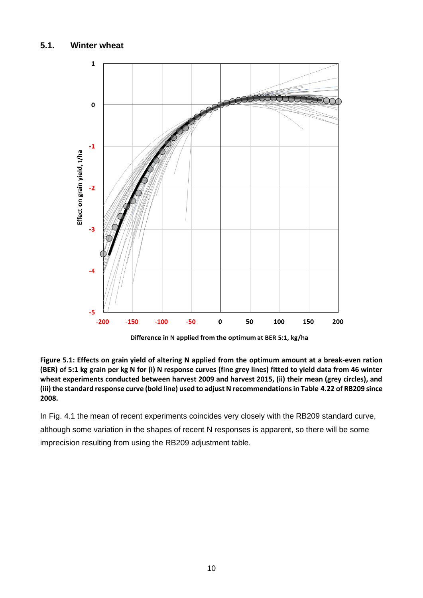

Difference in N applied from the optimum at BER 5:1, kg/ha

**Figure 5.1: Effects on grain yield of altering N applied from the optimum amount at a break-even ration (BER) of 5:1 kg grain per kg N for (i) N response curves (fine grey lines) fitted to yield data from 46 winter wheat experiments conducted between harvest 2009 and harvest 2015, (ii) their mean (grey circles), and (iii) the standard response curve (bold line) used to adjust N recommendations in Table 4.22 of RB209 since 2008.** 

In Fig. 4.1 the mean of recent experiments coincides very closely with the RB209 standard curve, although some variation in the shapes of recent N responses is apparent, so there will be some imprecision resulting from using the RB209 adjustment table.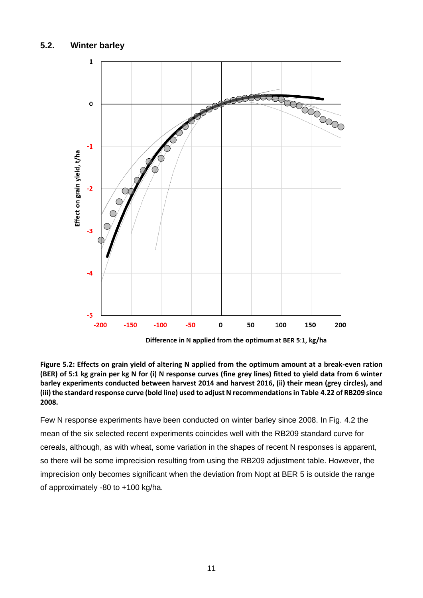**2008.** 



**Figure 5.2: Effects on grain yield of altering N applied from the optimum amount at a break-even ration (BER) of 5:1 kg grain per kg N for (i) N response curves (fine grey lines) fitted to yield data from 6 winter barley experiments conducted between harvest 2014 and harvest 2016, (ii) their mean (grey circles), and (iii) the standard response curve (bold line) used to adjust N recommendations in Table 4.22 of RB209 since** 

Few N response experiments have been conducted on winter barley since 2008. In Fig. 4.2 the mean of the six selected recent experiments coincides well with the RB209 standard curve for cereals, although, as with wheat, some variation in the shapes of recent N responses is apparent, so there will be some imprecision resulting from using the RB209 adjustment table. However, the imprecision only becomes significant when the deviation from Nopt at BER 5 is outside the range of approximately -80 to +100 kg/ha.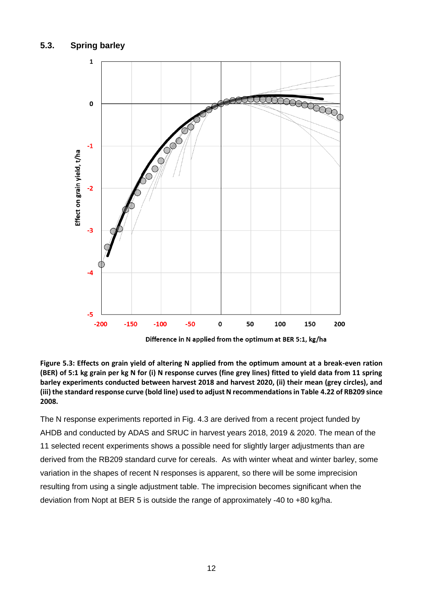

Difference in N applied from the optimum at BER 5:1, kg/ha

**Figure 5.3: Effects on grain yield of altering N applied from the optimum amount at a break-even ration (BER) of 5:1 kg grain per kg N for (i) N response curves (fine grey lines) fitted to yield data from 11 spring barley experiments conducted between harvest 2018 and harvest 2020, (ii) their mean (grey circles), and (iii) the standard response curve (bold line) used to adjust N recommendations in Table 4.22 of RB209 since 2008.** 

The N response experiments reported in Fig. 4.3 are derived from a recent project funded by AHDB and conducted by ADAS and SRUC in harvest years 2018, 2019 & 2020. The mean of the 11 selected recent experiments shows a possible need for slightly larger adjustments than are derived from the RB209 standard curve for cereals. As with winter wheat and winter barley, some variation in the shapes of recent N responses is apparent, so there will be some imprecision resulting from using a single adjustment table. The imprecision becomes significant when the deviation from Nopt at BER 5 is outside the range of approximately -40 to +80 kg/ha.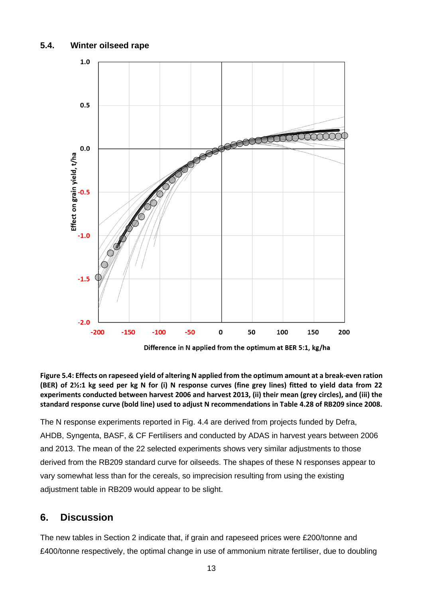#### **5.4. Winter oilseed rape**



Difference in N applied from the optimum at BER 5:1, kg/ha

**Figure 5.4: Effects on rapeseed yield of altering N applied from the optimum amount at a break-even ration (BER) of 2½:1 kg seed per kg N for (i) N response curves (fine grey lines) fitted to yield data from 22 experiments conducted between harvest 2006 and harvest 2013, (ii) their mean (grey circles), and (iii) the standard response curve (bold line) used to adjust N recommendations in Table 4.28 of RB209 since 2008.** 

The N response experiments reported in Fig. 4.4 are derived from projects funded by Defra, AHDB, Syngenta, BASF, & CF Fertilisers and conducted by ADAS in harvest years between 2006 and 2013. The mean of the 22 selected experiments shows very similar adjustments to those derived from the RB209 standard curve for oilseeds. The shapes of these N responses appear to vary somewhat less than for the cereals, so imprecision resulting from using the existing adjustment table in RB209 would appear to be slight.

### **6. Discussion**

The new tables in Section 2 indicate that, if grain and rapeseed prices were £200/tonne and £400/tonne respectively, the optimal change in use of ammonium nitrate fertiliser, due to doubling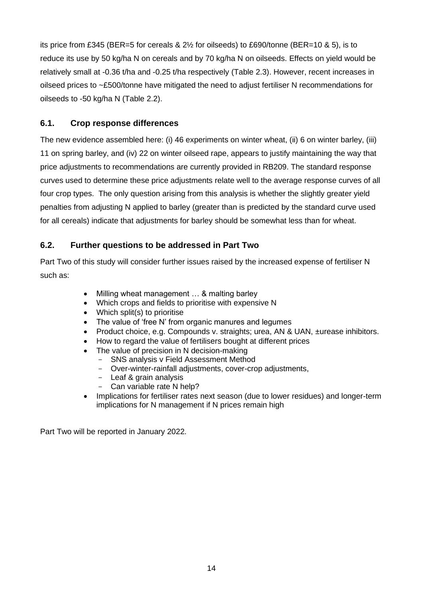its price from £345 (BER=5 for cereals & 2½ for oilseeds) to £690/tonne (BER=10 & 5), is to reduce its use by 50 kg/ha N on cereals and by 70 kg/ha N on oilseeds. Effects on yield would be relatively small at -0.36 t/ha and -0.25 t/ha respectively (Table 2.3). However, recent increases in oilseed prices to ~£500/tonne have mitigated the need to adjust fertiliser N recommendations for oilseeds to -50 kg/ha N (Table 2.2).

#### **6.1. Crop response differences**

The new evidence assembled here: (i) 46 experiments on winter wheat, (ii) 6 on winter barley, (iii) 11 on spring barley, and (iv) 22 on winter oilseed rape, appears to justify maintaining the way that price adjustments to recommendations are currently provided in RB209. The standard response curves used to determine these price adjustments relate well to the average response curves of all four crop types. The only question arising from this analysis is whether the slightly greater yield penalties from adjusting N applied to barley (greater than is predicted by the standard curve used for all cereals) indicate that adjustments for barley should be somewhat less than for wheat.

### **6.2. Further questions to be addressed in Part Two**

Part Two of this study will consider further issues raised by the increased expense of fertiliser N such as:

- Milling wheat management ... & malting barley
- Which crops and fields to prioritise with expensive N
- Which split(s) to prioritise
- The value of 'free N' from organic manures and legumes
- Product choice, e.g. Compounds v. straights; urea, AN & UAN, ±urease inhibitors.
- How to regard the value of fertilisers bought at different prices
- The value of precision in N decision-making
	- SNS analysis v Field Assessment Method
	- Over-winter-rainfall adjustments, cover-crop adjustments,
	- Leaf & grain analysis
	- Can variable rate N help?
- Implications for fertiliser rates next season (due to lower residues) and longer-term implications for N management if N prices remain high

Part Two will be reported in January 2022.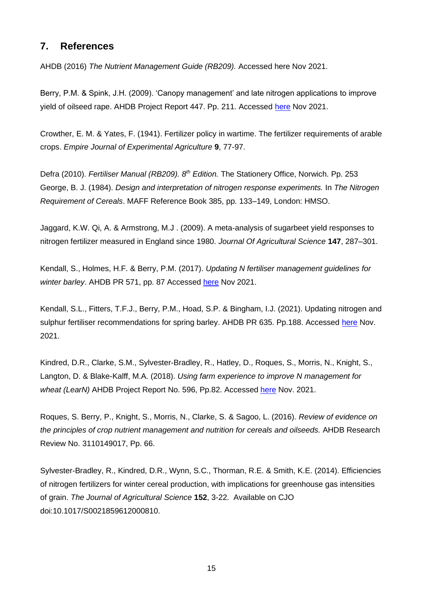### **7. References**

AHDB (2016) *The Nutrient Management Guide (RB209).* Accessed here Nov 2021.

Berry, P.M. & Spink, J.H. (2009). 'Canopy management' and late nitrogen applications to improve yield of oilseed rape. AHDB Project Report 447. Pp. 211. Accessed [here](https://ahdb.org.uk/canopy-management-and-late-nitrogen-applications-to-improve-yield-of-oilseed-rape) Nov 2021.

Crowther, E. M. & Yates, F. (1941). Fertilizer policy in wartime. The fertilizer requirements of arable crops. *Empire Journal of Experimental Agriculture* **9**, 77-97.

Defra (2010). *Fertiliser Manual (RB209). 8th Edition.* The Stationery Office, Norwich. Pp. 253 George, B. J. (1984). *Design and interpretation of nitrogen response experiments.* In *The Nitrogen Requirement of Cereals*. MAFF Reference Book 385, pp. 133–149, London: HMSO.

Jaggard, K.W. Qi, A. & Armstrong, M.J . (2009). A meta-analysis of sugarbeet yield responses to nitrogen fertilizer measured in England since 1980. *Journal Of Agricultural Science* **147**, 287–301.

Kendall, S., Holmes, H.F. & Berry, P.M. (2017). *Updating N fertiliser management guidelines for winter barley*. AHDB PR 571, pp. 87 Accessed [here](https://projectblue.blob.core.windows.net/media/Default/Research%20Papers/Cereals%20and%20Oilseed/pr571_final-project-report.pdf) Nov 2021.

Kendall, S.L., Fitters, T.F.J., Berry, P.M., Hoad, S.P. & Bingham, I.J. (2021). Updating nitrogen and sulphur fertiliser recommendations for spring barley. AHDB PR 635. Pp.188. Accessed [here](https://ahdb.org.uk/updating-nitrogen-and-sulphur-fertiliser-recommendations-for-spring-barley) Nov. 2021.

Kindred, D.R., Clarke, S.M., Sylvester-Bradley, R., Hatley, D., Roques, S., Morris, N., Knight, S., Langton, D. & Blake-Kalff, M.A. (2018). *Using farm experience to improve N management for wheat (LearN)* AHDB Project Report No. 596, Pp.82. Accessed [here](https://ahdb.org.uk/using-farm-experience-to-improve-n-management-for-wheat-learn) Nov. 2021.

Roques, S. Berry, P., Knight, S., Morris, N., Clarke, S. & Sagoo, L. (2016). *Review of evidence on the principles of crop nutrient management and nutrition for cereals and oilseeds.* AHDB Research Review No. 3110149017, Pp. 66.

Sylvester-Bradley, R., Kindred, D.R., Wynn, S.C., Thorman, R.E. & Smith, K.E. (2014). Efficiencies of nitrogen fertilizers for winter cereal production, with implications for greenhouse gas intensities of grain. *The Journal of Agricultural Science* **152**, 3-22. Available on CJO doi:10.1017/S0021859612000810.